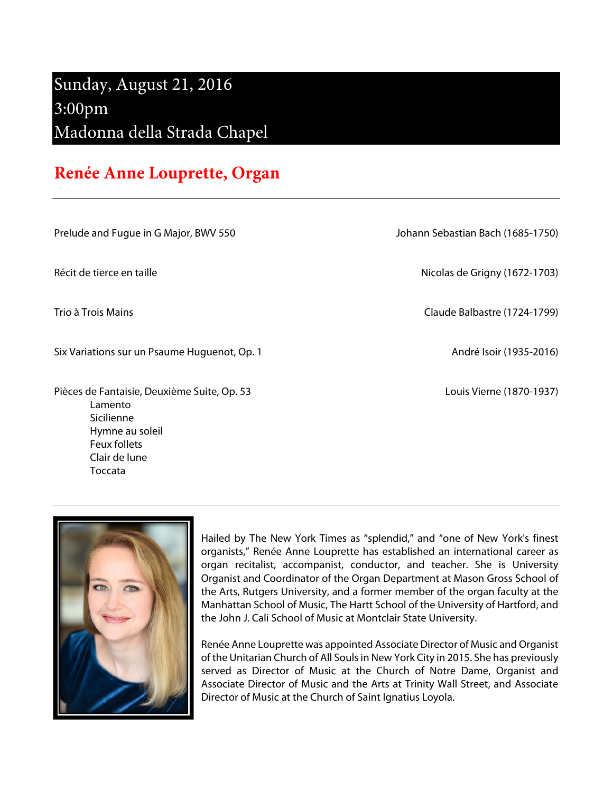## Sunday, August 21, 2016 3:00pm Madonna della Strada Chapel

## **Renée Anne Louprette, Organ**

Prelude and Fugue in G Major, BWV 550 Johann Sebastian Bach (1685-1750)

Six Variations sur un Psaume Huguenot, Op. 1 André Isoir (1935-2016)

Pièces de Fantaisie, Deuxième Suite, Op. 53 les entre le produit de la contraste de la Couis Vierne (1870-1937) Lamento Sicilienne Hymne au soleil Feux follets Clair de lune Toccata

Récit de tierce en taille **Nicolas de Grigny (1672-1703**)

Trio à Trois Mains Claude Balbastre (1724-1799)



Hailed by The New York Times as "splendid," and "one of New York's finest organists," Renée Anne Louprette has established an international career as organ recitalist, accompanist, conductor, and teacher. She is University Organist and Coordinator of the Organ Department at Mason Gross School of the Arts, Rutgers University, and a former member of the organ faculty at the Manhattan School of Music, The Hartt School of the University of Hartford, and the John J. Cali School of Music at Montclair State University.

Renée Anne Louprette was appointed Associate Director of Music and Organist of the Unitarian Church of All Souls in New York City in 2015. She has previously served as Director of Music at the Church of Notre Dame, Organist and Associate Director of Music and the Arts at Trinity Wall Street, and Associate Director of Music at the Church of Saint Ignatius Loyola.